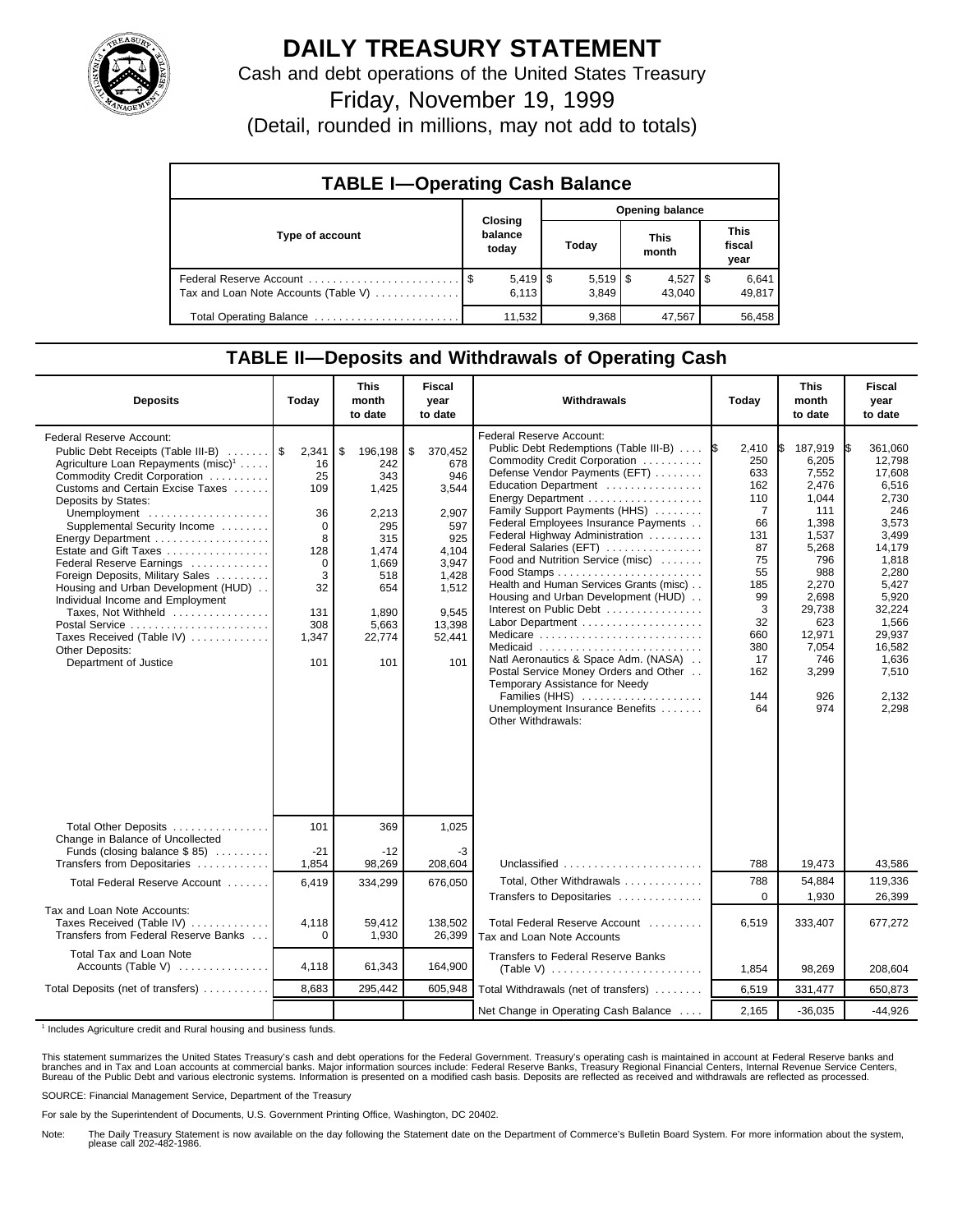

## **DAILY TREASURY STATEMENT**

Cash and debt operations of the United States Treasury

Friday, November 19, 1999

(Detail, rounded in millions, may not add to totals)

| <b>TABLE I-Operating Cash Balance</b> |                             |  |                             |  |                      |  |                               |  |  |
|---------------------------------------|-----------------------------|--|-----------------------------|--|----------------------|--|-------------------------------|--|--|
|                                       |                             |  | <b>Opening balance</b>      |  |                      |  |                               |  |  |
| Type of account                       | Closing<br>balance<br>today |  | Today                       |  | <b>This</b><br>month |  | <b>This</b><br>fiscal<br>year |  |  |
| Tax and Loan Note Accounts (Table V)  | $5,419$ $\sqrt{5}$<br>6.113 |  | $5,519$ $\sqrt{3}$<br>3.849 |  | $4,527$ S<br>43.040  |  | 6,641<br>49,817               |  |  |
| Total Operating Balance               | 11.532                      |  | 9,368                       |  | 47,567               |  | 56,458                        |  |  |

## **TABLE II—Deposits and Withdrawals of Operating Cash**

| <b>Deposits</b>                                                                                                                                                                                                                                                                                                                                                                                                                                                                                                                                                         | Today                                                                                                       | <b>This</b><br>month<br>to date                                                                                                | <b>Fiscal</b><br>year<br>to date                                                                                                    | Withdrawals                                                                                                                                                                                                                                                                                                                                                                                                                                                                                                                                                                                                                                                                                                      | Today                                                                                                                                                     | <b>This</b><br>month<br>to date                                                                                                                                                 | <b>Fiscal</b><br>year<br>to date                                                                                                                                                                       |
|-------------------------------------------------------------------------------------------------------------------------------------------------------------------------------------------------------------------------------------------------------------------------------------------------------------------------------------------------------------------------------------------------------------------------------------------------------------------------------------------------------------------------------------------------------------------------|-------------------------------------------------------------------------------------------------------------|--------------------------------------------------------------------------------------------------------------------------------|-------------------------------------------------------------------------------------------------------------------------------------|------------------------------------------------------------------------------------------------------------------------------------------------------------------------------------------------------------------------------------------------------------------------------------------------------------------------------------------------------------------------------------------------------------------------------------------------------------------------------------------------------------------------------------------------------------------------------------------------------------------------------------------------------------------------------------------------------------------|-----------------------------------------------------------------------------------------------------------------------------------------------------------|---------------------------------------------------------------------------------------------------------------------------------------------------------------------------------|--------------------------------------------------------------------------------------------------------------------------------------------------------------------------------------------------------|
| Federal Reserve Account:<br>Public Debt Receipts (Table III-B)<br>Agriculture Loan Repayments (misc) <sup>1</sup><br>Commodity Credit Corporation<br>Customs and Certain Excise Taxes<br>Deposits by States:<br>Unemployment<br>Supplemental Security Income<br>Energy Department<br>Estate and Gift Taxes<br>Federal Reserve Earnings<br>Foreign Deposits, Military Sales<br>Housing and Urban Development (HUD)<br>Individual Income and Employment<br>Taxes, Not Withheld<br>Postal Service<br>Taxes Received (Table IV)<br>Other Deposits:<br>Department of Justice | 2,341<br>16<br>25<br>109<br>36<br>$\Omega$<br>8<br>128<br>$\Omega$<br>3<br>32<br>131<br>308<br>1.347<br>101 | \$<br>196,198<br>242<br>343<br>1,425<br>2,213<br>295<br>315<br>1,474<br>1,669<br>518<br>654<br>1.890<br>5,663<br>22,774<br>101 | \$<br>370,452<br>678<br>946<br>3,544<br>2.907<br>597<br>925<br>4.104<br>3.947<br>1,428<br>1,512<br>9.545<br>13,398<br>52,441<br>101 | Federal Reserve Account:<br>Public Debt Redemptions (Table III-B)<br>Commodity Credit Corporation<br>Defense Vendor Payments (EFT)<br>Education Department<br>Energy Department<br>Family Support Payments (HHS)<br>Federal Employees Insurance Payments<br>Federal Highway Administration<br>Federal Salaries (EFT)<br>Food and Nutrition Service (misc)<br>Health and Human Services Grants (misc)<br>Housing and Urban Development (HUD)<br>Interest on Public Debt<br>Labor Department<br>Medicare<br>Medicaid<br>Natl Aeronautics & Space Adm. (NASA)<br>Postal Service Money Orders and Other<br>Temporary Assistance for Needy<br>Families (HHS)<br>Unemployment Insurance Benefits<br>Other Withdrawals: | 2,410<br>I\$<br>250<br>633<br>162<br>110<br>$\overline{7}$<br>66<br>131<br>87<br>75<br>55<br>185<br>99<br>3<br>32<br>660<br>380<br>17<br>162<br>144<br>64 | 187,919<br>6,205<br>7,552<br>2,476<br>1,044<br>111<br>1,398<br>1,537<br>5,268<br>796<br>988<br>2,270<br>2.698<br>29,738<br>623<br>12,971<br>7.054<br>746<br>3,299<br>926<br>974 | 361,060<br>I\$<br>12,798<br>17,608<br>6,516<br>2,730<br>246<br>3,573<br>3,499<br>14,179<br>1,818<br>2,280<br>5,427<br>5,920<br>32,224<br>1,566<br>29,937<br>16.582<br>1,636<br>7,510<br>2,132<br>2,298 |
| Total Other Deposits<br>Change in Balance of Uncollected                                                                                                                                                                                                                                                                                                                                                                                                                                                                                                                | 101                                                                                                         | 369                                                                                                                            | 1,025                                                                                                                               |                                                                                                                                                                                                                                                                                                                                                                                                                                                                                                                                                                                                                                                                                                                  |                                                                                                                                                           |                                                                                                                                                                                 |                                                                                                                                                                                                        |
| Funds (closing balance \$85)<br>Transfers from Depositaries                                                                                                                                                                                                                                                                                                                                                                                                                                                                                                             | $-21$<br>1,854                                                                                              | $-12$<br>98,269                                                                                                                | -3<br>208,604                                                                                                                       | Unclassified                                                                                                                                                                                                                                                                                                                                                                                                                                                                                                                                                                                                                                                                                                     | 788                                                                                                                                                       | 19,473                                                                                                                                                                          | 43,586                                                                                                                                                                                                 |
| Total Federal Reserve Account                                                                                                                                                                                                                                                                                                                                                                                                                                                                                                                                           | 6,419                                                                                                       | 334,299                                                                                                                        | 676,050                                                                                                                             | Total, Other Withdrawals<br>Transfers to Depositaries                                                                                                                                                                                                                                                                                                                                                                                                                                                                                                                                                                                                                                                            | 788<br>$\mathbf 0$                                                                                                                                        | 54,884<br>1,930                                                                                                                                                                 | 119,336<br>26,399                                                                                                                                                                                      |
| Tax and Loan Note Accounts:<br>Taxes Received (Table IV)<br>Transfers from Federal Reserve Banks                                                                                                                                                                                                                                                                                                                                                                                                                                                                        | 4,118<br>$\Omega$                                                                                           | 59,412<br>1,930                                                                                                                | 138,502<br>26,399                                                                                                                   | Total Federal Reserve Account<br>Tax and Loan Note Accounts                                                                                                                                                                                                                                                                                                                                                                                                                                                                                                                                                                                                                                                      | 6,519                                                                                                                                                     | 333,407                                                                                                                                                                         | 677,272                                                                                                                                                                                                |
| Total Tax and Loan Note<br>Accounts (Table V)                                                                                                                                                                                                                                                                                                                                                                                                                                                                                                                           | 4,118                                                                                                       | 61,343                                                                                                                         | 164,900                                                                                                                             | Transfers to Federal Reserve Banks<br>(Table V) $\ldots \ldots \ldots \ldots \ldots \ldots \ldots$                                                                                                                                                                                                                                                                                                                                                                                                                                                                                                                                                                                                               | 1,854                                                                                                                                                     | 98,269                                                                                                                                                                          | 208,604                                                                                                                                                                                                |
| Total Deposits (net of transfers)                                                                                                                                                                                                                                                                                                                                                                                                                                                                                                                                       | 8,683                                                                                                       | 295,442                                                                                                                        | 605,948                                                                                                                             | Total Withdrawals (net of transfers)                                                                                                                                                                                                                                                                                                                                                                                                                                                                                                                                                                                                                                                                             | 6,519                                                                                                                                                     | 331,477                                                                                                                                                                         | 650,873                                                                                                                                                                                                |
|                                                                                                                                                                                                                                                                                                                                                                                                                                                                                                                                                                         |                                                                                                             |                                                                                                                                |                                                                                                                                     | Net Change in Operating Cash Balance                                                                                                                                                                                                                                                                                                                                                                                                                                                                                                                                                                                                                                                                             | 2.165                                                                                                                                                     | $-36,035$                                                                                                                                                                       | $-44,926$                                                                                                                                                                                              |

<sup>1</sup> Includes Agriculture credit and Rural housing and business funds.

This statement summarizes the United States Treasury's cash and debt operations for the Federal Government. Treasury's operating cash is maintained in account at Federal Reserve banks and<br>branches and in Tax and Loan accou

SOURCE: Financial Management Service, Department of the Treasury

For sale by the Superintendent of Documents, U.S. Government Printing Office, Washington, DC 20402.

Note: The Daily Treasury Statement is now available on the day following the Statement date on the Department of Commerce's Bulletin Board System. For more information about the system, please call 202-482-1986.